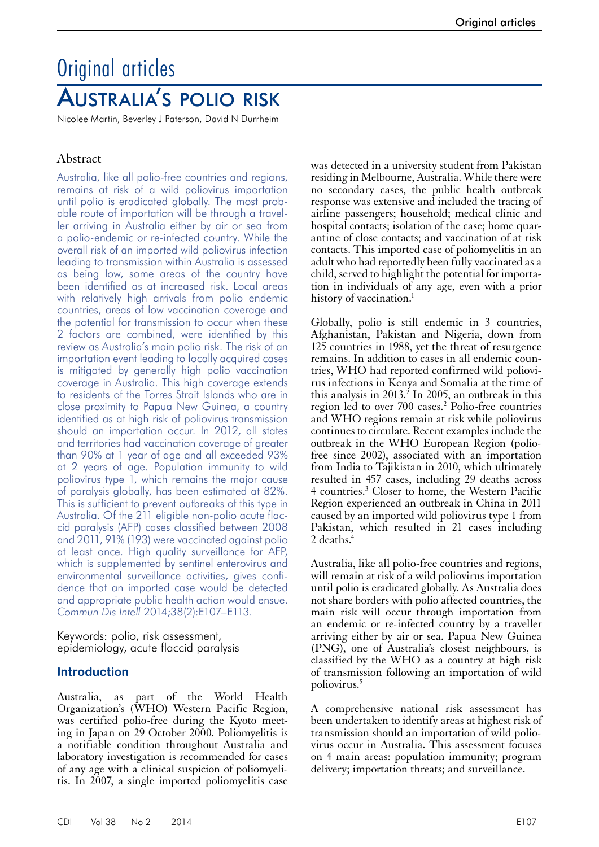# Original articles Australia's polio risk

Nicolee Martin, Beverley J Paterson, David N Durrheim

# Abstract

Australia, like all polio-free countries and regions, remains at risk of a wild poliovirus importation until polio is eradicated globally. The most probable route of importation will be through a traveller arriving in Australia either by air or sea from a polio-endemic or re-infected country. While the overall risk of an imported wild poliovirus infection leading to transmission within Australia is assessed as being low, some areas of the country have been identified as at increased risk. Local areas with relatively high arrivals from polio endemic countries, areas of low vaccination coverage and the potential for transmission to occur when these 2 factors are combined, were identified by this review as Australia's main polio risk. The risk of an importation event leading to locally acquired cases is mitigated by generally high polio vaccination coverage in Australia. This high coverage extends to residents of the Torres Strait Islands who are in close proximity to Papua New Guinea, a country identified as at high risk of poliovirus transmission should an importation occur. In 2012, all states and territories had vaccination coverage of greater than 90% at 1 year of age and all exceeded 93% at 2 years of age. Population immunity to wild poliovirus type 1, which remains the major cause of paralysis globally, has been estimated at 82%. This is sufficient to prevent outbreaks of this type in Australia. Of the 211 eligible non-polio acute flaccid paralysis (AFP) cases classified between 2008 and 2011, 91% (193) were vaccinated against polio at least once. High quality surveillance for AFP, which is supplemented by sentinel enterovirus and environmental surveillance activities, gives confidence that an imported case would be detected and appropriate public health action would ensue. *Commun Dis Intell* 2014;38(2):E107–E113.

Keywords: polio, risk assessment, epidemiology, acute flaccid paralysis

# **Introduction**

Australia, as part of the World Health Organization's (WHO) Western Pacific Region, was certified polio-free during the Kyoto meet-<br>ing in Japan on 29 October 2000. Poliomyelitis is a notifiable condition throughout Australia and laboratory investigation is recommended for cases of any age with a clinical suspicion of poliomyelitis. In 2007, a single imported poliomyelitis case

was detected in a university student from Pakistan residing in Melbourne, Australia. While there were no secondary cases, the public health outbreak response was extensive and included the tracing of airline passengers; household; medical clinic and hospital contacts; isolation of the case; home quarantine of close contacts; and vaccination of at risk contacts. This imported case of poliomyelitis in an adult who had reportedly been fully vaccinated as a child, served to highlight the potential for importation in individuals of any age, even with a prior history of vaccination.<sup>1</sup>

Globally, polio is still endemic in 3 countries, Afghanistan, Pakistan and Nigeria, down from 125 countries in 1988, yet the threat of resurgence remains. In addition to cases in all endemic countries, WHO had reported confirmed wild poliovirus infections in Kenya and Somalia at the time of this analysis in 2013.<sup>2</sup> In 2005, an outbreak in this region led to over 700 cases.<sup>2</sup> Polio-free countries and WHO regions remain at risk while poliovirus continues to circulate. Recent examples include the outbreak in the WHO European Region (poliofree since 2002), associated with an importation from India to Tajikistan in 2010, which ultimately resulted in 457 cases, including 29 deaths across 4 countries.3 Closer to home, the Western Pacific Region experienced an outbreak in China in 2011 caused by an imported wild poliovirus type 1 from Pakistan, which resulted in 21 cases including 2 deaths.<sup>4</sup>

Australia, like all polio-free countries and regions, will remain at risk of a wild poliovirus importation until polio is eradicated globally. As Australia does not share borders with polio affected countries, the main risk will occur through importation from an endemic or re-infected country by a traveller arriving either by air or sea. Papua New Guinea (PNG), one of Australia's closest neighbours, is classified by the WHO as a country at high risk of transmission following an importation of wild poliovirus.5

A comprehensive national risk assessment has been undertaken to identify areas at highest risk of transmission should an importation of wild polio- virus occur in Australia. This assessment focuses on 4 main areas: population immunity; program delivery; importation threats; and surveillance.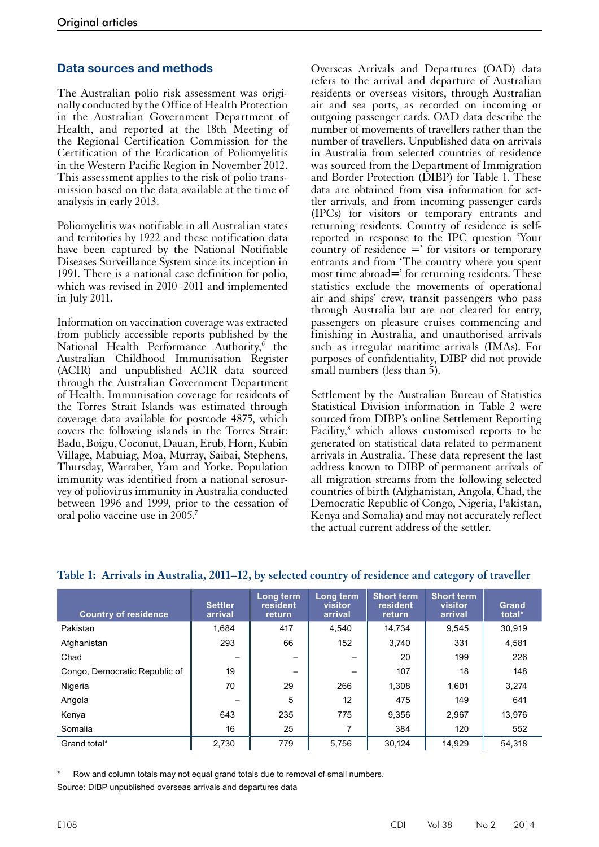## **Data sources and methods**

The Australian polio risk assessment was originally conducted by the Office of Health Protection in the Australian Government Department of Health, and reported at the 18th Meeting of the Regional Certification Commission for the Certification of the Eradication of Poliomyelitis in the Western Pacific Region in November 2012. This assessment applies to the risk of polio transmission based on the data available at the time of analysis in early 2013.

Poliomyelitis was notifiable in all Australian states and territories by 1922 and these notification data have been captured by the National Notifiable Diseases Surveillance System since its inception in 1991. There is a national case definition for polio, which was revised in 2010–2011 and implemented in July 2011.

Information on vaccination coverage was extracted from publicly accessible reports published by the National Health Performance Authority,<sup>6</sup> the Australian Childhood Immunisation Register (ACIR) and unpublished ACIR data sourced through the Australian Government Department of Health. Immunisation coverage for residents of the Torres Strait Islands was estimated through coverage data available for postcode 4875, which covers the following islands in the Torres Strait: Badu, Boigu, Coconut, Dauan, Erub, Horn, Kubin Village, Mabuiag, Moa, Murray, Saibai, Stephens, Thursday, Warraber, Yam and Yorke. Population immunity was identified from a national serosur- vey of poliovirus immunity in Australia conducted between 1996 and 1999, prior to the cessation of oral polio vaccine use in 2005.7

Overseas Arrivals and Departures (OAD) data refers to the arrival and departure of Australian residents or overseas visitors, through Australian air and sea ports, as recorded on incoming or outgoing passenger cards. OAD data describe the number of movements of travellers rather than the number of travellers. Unpublished data on arrivals in Australia from selected countries of residence was sourced from the Department of Immigration and Border Protection (DIBP) for Table 1. These data are obtained from visa information for settler arrivals, and from incoming passenger cards (IPCs) for visitors or temporary entrants and returning residents. Country of residence is selfreported in response to the IPC question 'Your country of residence  $=$ ' for visitors or temporary entrants and from 'The country where you spent most time abroad=' for returning residents. These statistics exclude the movements of operational air and ships' crew, transit passengers who pass through Australia but are not cleared for entry, passengers on pleasure cruises commencing and finishing in Australia, and unauthorised arrivals such as irregular maritime arrivals (IMAs). For purposes of confidentiality, DIBP did not provide small numbers (less than 5).

Settlement by the Australian Bureau of Statistics Statistical Division information in Table 2 were sourced from DIBP's online Settlement Reporting Facility,<sup>8</sup> which allows customised reports to be generated on statistical data related to permanent arrivals in Australia. These data represent the last address known to DIBP of permanent arrivals of all migration streams from the following selected countries of birth (Afghanistan, Angola, Chad, the Democratic Republic of Congo, Nigeria, Pakistan, Kenya and Somalia) and may not accurately reflect the actual current address of the settler.

| <b>Country of residence</b>   | <b>Settler</b><br>arrival | Long term<br>resident<br><b>return</b> | Long term<br>visitor<br>arrival | <b>Short term</b><br>resident<br><b>return</b> | <b>Short term</b><br>visitor<br>arrival | <b>Grand</b><br>total* |
|-------------------------------|---------------------------|----------------------------------------|---------------------------------|------------------------------------------------|-----------------------------------------|------------------------|
| Pakistan                      | 1.684                     | 417                                    | 4.540                           | 14.734                                         | 9,545                                   | 30.919                 |
| Afghanistan                   | 293                       | 66                                     | 152                             | 3.740                                          | 331                                     | 4,581                  |
| Chad                          |                           |                                        |                                 | 20                                             | 199                                     | 226                    |
| Congo, Democratic Republic of | 19                        |                                        |                                 | 107                                            | 18                                      | 148                    |
| Nigeria                       | 70                        | 29                                     | 266                             | 1,308                                          | 1.601                                   | 3,274                  |
| Angola                        |                           | 5                                      | 12                              | 475                                            | 149                                     | 641                    |
| Kenya                         | 643                       | 235                                    | 775                             | 9.356                                          | 2,967                                   | 13.976                 |
| Somalia                       | 16                        | 25                                     |                                 | 384                                            | 120                                     | 552                    |
| Grand total*                  | 2.730                     | 779                                    | 5,756                           | 30.124                                         | 14.929                                  | 54.318                 |

## **Table 1: Arrivals in Australia, 2011–12, by selected country of residence and category of traveller**

Row and column totals may not equal grand totals due to removal of small numbers. Source: DIBP unpublished overseas arrivals and departures data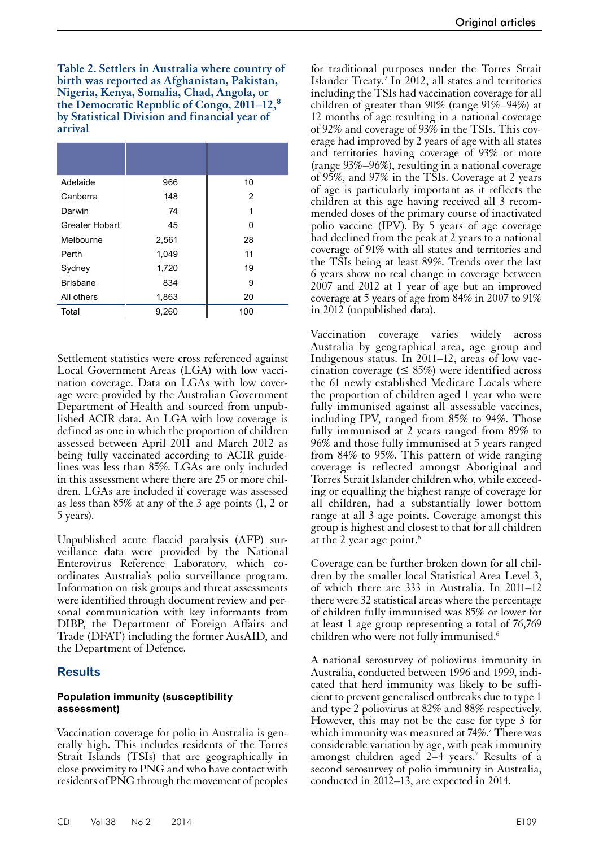**Table 2. Settlers in Australia where country of birth was reported as Afghanistan, Pakistan, Nigeria, Kenya, Somalia, Chad, Angola, or the Democratic Republic of Congo, 2011–12,<sup>8</sup> by Statistical Division and financial year of arrival**

| Adelaide              | 966   | 10  |
|-----------------------|-------|-----|
| Canberra              | 148   | 2   |
|                       |       |     |
| Darwin                | 74    | 1   |
| <b>Greater Hobart</b> | 45    | ŋ   |
| Melbourne             | 2,561 | 28  |
| Perth                 | 1,049 | 11  |
| Sydney                | 1,720 | 19  |
| <b>Brisbane</b>       | 834   | 9   |
| All others            | 1,863 | 20  |
| Total                 | 9,260 | 100 |

Settlement statistics were cross referenced against Local Government Areas (LGA) with low vaccination coverage. Data on LGAs with low coverage were provided by the Australian Government Department of Health and sourced from unpublished ACIR data. An LGA with low coverage is defined as one in which the proportion of children assessed between April 2011 and March 2012 as being fully vaccinated according to ACIR guidelines was less than 85%. LGAs are only included in this assessment where there are 25 or more chil- dren. LGAs are included if coverage was assessed as less than 85% at any of the 3 age points (1, 2 or 5 years).

Unpublished acute flaccid paralysis (AFP) sur- veillance data were provided by the National Enterovirus Reference Laboratory, which coordinates Australia's polio surveillance program. Information on risk groups and threat assessments were identified through document review and per- sonal communication with key informants from DIBP, the Department of Foreign Affairs and Trade (DFAT) including the former AusAID, and the Department of Defence.

#### **Results**

#### **Population immunity (susceptibility assessment)**

Vaccination coverage for polio in Australia is generally high. This includes residents of the Torres Strait Islands (TSIs) that are geographically in close proximity to PNG and who have contact with residents of PNG through the movement of peoples

for traditional purposes under the Torres Strait Islander Treaty.<sup>9</sup> In 2012, all states and territories including the TSIs had vaccination coverage for all children of greater than 90% (range 91%–94%) at 12 months of age resulting in a national coverage of 92% and coverage of 93% in the TSIs. This coverage had improved by 2 years of age with all states and territories having coverage of 93% or more (range 93%–96%), resulting in a national coverage of 95%, and 97% in the TSIs. Coverage at 2 years of age is particularly important as it reflects the children at this age having received all 3 recommended doses of the primary course of inactivated polio vaccine (IPV). By 5 years of age coverage had declined from the peak at 2 years to a national coverage of 91% with all states and territories and the TSIs being at least 89%. Trends over the last 6 years show no real change in coverage between 2007 and 2012 at 1 year of age but an improved coverage at 5 years of age from 84% in 2007 to 91% in 2012 (unpublished data).

Vaccination coverage varies widely across Australia by geographical area, age group and Indigenous status. In 2011–12, areas of low vaccination coverage ( $\leq$  85%) were identified across the 61 newly established Medicare Locals where the proportion of children aged 1 year who were fully immunised against all assessable vaccines, including IPV, ranged from 85% to 94%. Those fully immunised at 2 years ranged from 89% to 96% and those fully immunised at 5 years ranged from 84% to 95%. This pattern of wide ranging coverage is reflected amongst Aboriginal and Torres Strait Islander children who, while exceed- ing or equalling the highest range of coverage for all children, had a substantially lower bottom range at all 3 age points. Coverage amongst this group is highest and closest to that for all children at the 2 year age point. $6$ 

Coverage can be further broken down for all chil- dren by the smaller local Statistical Area Level 3, of which there are 333 in Australia. In 2011–12 there were 32 statistical areas where the percentage of children fully immunised was 85% or lower for at least 1 age group representing a total of 76,769 children who were not fully immunised.<sup>6</sup>

A national serosurvey of poliovirus immunity in Australia, conducted between 1996 and 1999, indi- cated that herd immunity was likely to be suffi- cient to prevent generalised outbreaks due to type 1 and type 2 poliovirus at 82% and 88% respectively. However, this may not be the case for type 3 for which immunity was measured at 74%.<sup>7</sup> There was considerable variation by age, with peak immunity amongst children aged 2–4 years.7 Results of a second serosurvey of polio immunity in Australia, conducted in 2012–13, are expected in 2014.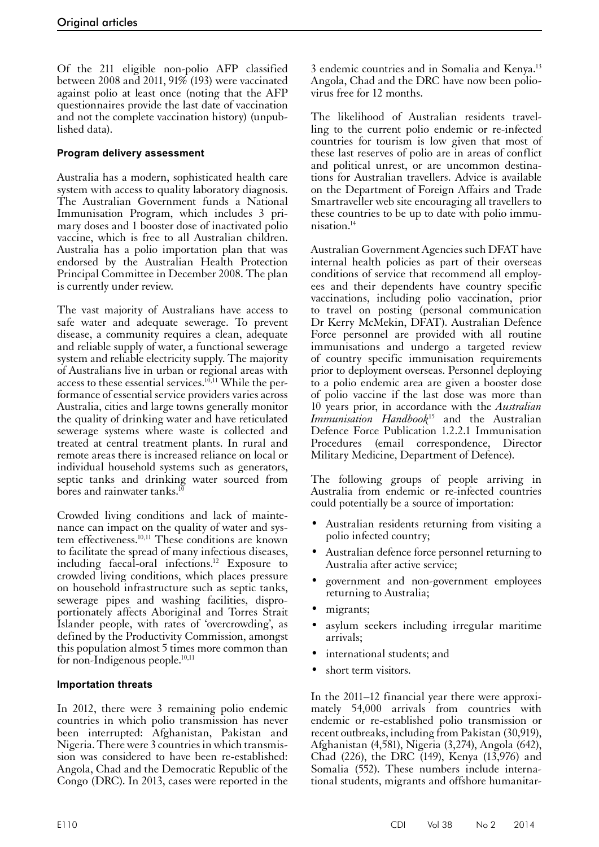Of the 211 eligible non-polio AFP classified between 2008 and 2011, 91% (193) were vaccinated against polio at least once (noting that the AFP questionnaires provide the last date of vaccination and not the complete vaccination history) (unpublished data).

## **Program delivery assessment**

Australia has a modern, sophisticated health care system with access to quality laboratory diagnosis. The Australian Government funds a National Immunisation Program, which includes 3 primary doses and 1 booster dose of inactivated polio vaccine, which is free to all Australian children. Australia has a polio importation plan that was endorsed by the Australian Health Protection Principal Committee in December 2008. The plan is currently under review.

The vast majority of Australians have access to safe water and adequate sewerage. To prevent disease, a community requires a clean, adequate and reliable supply of water, a functional sewerage system and reliable electricity supply. The majority of Australians live in urban or regional areas with access to these essential services.<sup>10,11</sup> While the performance of essential service providers varies across Australia, cities and large towns generally monitor the quality of drinking water and have reticulated sewerage systems where waste is collected and treated at central treatment plants. In rural and remote areas there is increased reliance on local or individual household systems such as generators, septic tanks and drinking water sourced from bores and rainwater tanks.<sup>10</sup>

Crowded living conditions and lack of mainte-<br>nance can impact on the quality of water and sys-<br>tem effectiveness.<sup>10,11</sup> These conditions are known to facilitate the spread of many infectious diseases, including faecal-oral infections.<sup>12</sup> Exposure to crowded living conditions, which places pressure on household infrastructure such as septic tanks, sewerage pipes and washing facilities, dispro- portionately affects Aboriginal and Torres Strait Islander people, with rates of 'overcrowding', as defined by the Productivity Commission, amongst this population almost 5 times more common than for non-Indigenous people. $10,11$ 

#### **Importation threats**

In 2012, there were 3 remaining polio endemic countries in which polio transmission has never been interrupted: Afghanistan, Pakistan and Nigeria. There were 3 countries in which transmis- sion was considered to have been re-established: Angola, Chad and the Democratic Republic of the Congo (DRC). In 2013, cases were reported in the

3 endemic countries and in Somalia and Kenya.<sup>13</sup> Angola, Chad and the DRC have now been poliovirus free for 12 months.

The likelihood of Australian residents travelling to the current polio endemic or re-infected countries for tourism is low given that most of these last reserves of polio are in areas of conflict and political unrest, or are uncommon destinations for Australian travellers. Advice is available on the Department of Foreign Affairs and Trade Smartraveller web site encouraging all travellers to these countries to be up to date with polio immunisation.14

Australian Government Agencies such DFAT have internal health policies as part of their overseas conditions of service that recommend all employees and their dependents have country specific vaccinations, including polio vaccination, prior to travel on posting (personal communication Dr Kerry McMekin, DFAT). Australian Defence Force personnel are provided with all routine immunisations and undergo a targeted review of country specific immunisation requirements prior to deployment overseas. Personnel deploying to a polio endemic area are given a booster dose of polio vaccine if the last dose was more than 10 years prior, in accordance with the *Australian Immunisation Handbook*15 and the Australian Defence Force Publication 1.2.2.1 Immunisation Procedures (email correspondence, Director Military Medicine, Department of Defence).

The following groups of people arriving in Australia from endemic or re-infected countries could potentially be a source of importation:

- Australian residents returning from visiting a polio infected country;
- Australian defence force personnel returning to Australia after active service;
- government and non-government employees returning to Australia;
- migrants;
- asylum seekers including irregular maritime arrivals;
- international students; and
- short term visitors.

In the 2011–12 financial year there were approximately 54,000 arrivals from countries with endemic or re-established polio transmission or recent outbreaks, including from Pakistan (30,919), Afghanistan (4,581), Nigeria (3,274), Angola (642), Chad (226), the DRC (149), Kenya (13,976) and Somalia (552). These numbers include interna-<br>tional students, migrants and offshore humanitar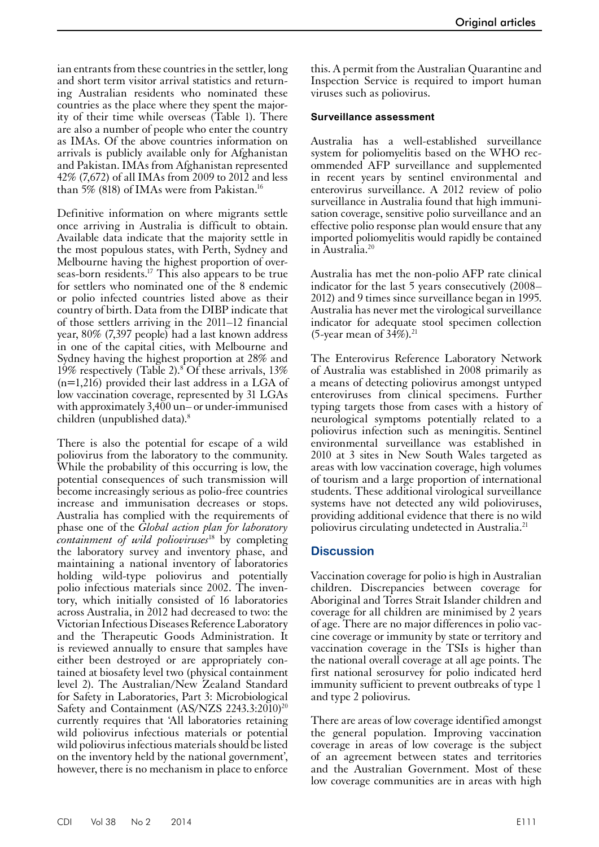ian entrants from these countries in the settler, long and short term visitor arrival statistics and returning Australian residents who nominated these countries as the place where they spent the majority of their time while overseas (Table 1). There are also a number of people who enter the country as IMAs. Of the above countries information on arrivals is publicly available only for Afghanistan and Pakistan. IMAs from Afghanistan represented 42% (7,672) of all IMAs from 2009 to 2012 and less than 5% (818) of IMAs were from Pakistan.<sup>16</sup>

Definitive information on where migrants settle once arriving in Australia is difficult to obtain. Available data indicate that the majority settle in the most populous states, with Perth, Sydney and Melbourne having the highest proportion of overseas-born residents.17 This also appears to be true for settlers who nominated one of the 8 endemic or polio infected countries listed above as their country of birth. Data from the DIBP indicate that of those settlers arriving in the 2011–12 financial year, 80% (7,397 people) had a last known address in one of the capital cities, with Melbourne and Sydney having the highest proportion at 28% and 19% respectively (Table 2).<sup>8</sup> Of these arrivals, 13% (n=1,216) provided their last address in a LGA of low vaccination coverage, represented by 31 LGAs with approximately 3,400 un– or under-immunised children (unpublished data).8

There is also the potential for escape of a wild poliovirus from the laboratory to the community. While the probability of this occurring is low, the potential consequences of such transmission will become increasingly serious as polio-free countries increase and immunisation decreases or stops. Australia has complied with the requirements of phase one of the *Global action plan for laboratory containment of wild polioviruses*18 by completing the laboratory survey and inventory phase, and maintaining a national inventory of laboratories holding wild-type poliovirus and potentially polio infectious materials since 2002. The inven- tory, which initially consisted of 16 laboratories across Australia, in 2012 had decreased to two: the Victorian Infectious Diseases Reference Laboratory and the Therapeutic Goods Administration. It is reviewed annually to ensure that samples have either been destroyed or are appropriately contained at biosafety level two (physical containment level 2). The Australian/New Zealand Standard for Safety in Laboratories, Part 3: Microbiological Safety and Containment (AS/NZS 2243.3:2010)<sup>20</sup> currently requires that 'All laboratories retaining wild poliovirus infectious materials or potential wild poliovirus infectious materials should be listed on the inventory held by the national government', however, there is no mechanism in place to enforce

this. A permit from the Australian Quarantine and Inspection Service is required to import human viruses such as poliovirus.

#### **Surveillance assessment**

Australia has a well-established surveillance system for poliomyelitis based on the WHO recommended AFP surveillance and supplemented in recent years by sentinel environmental and enterovirus surveillance. A 2012 review of polio surveillance in Australia found that high immunisation coverage, sensitive polio surveillance and an effective polio response plan would ensure that any imported poliomyelitis would rapidly be contained in Australia.20

Australia has met the non-polio AFP rate clinical indicator for the last 5 years consecutively (2008– 2012) and 9 times since surveillance began in 1995. Australia has never met the virological surveillance indicator for adequate stool specimen collection (5-year mean of  $34\%$ ).<sup>21</sup>

The Enterovirus Reference Laboratory Network of Australia was established in 2008 primarily as a means of detecting poliovirus amongst untyped enteroviruses from clinical specimens. Further typing targets those from cases with a history of neurological symptoms potentially related to a poliovirus infection such as meningitis. Sentinel environmental surveillance was established in 2010 at 3 sites in New South Wales targeted as areas with low vaccination coverage, high volumes of tourism and a large proportion of international students. These additional virological surveillance systems have not detected any wild polioviruses, providing additional evidence that there is no wild poliovirus circulating undetected in Australia.21

#### **Discussion**

Vaccination coverage for polio is high in Australian children. Discrepancies between coverage for Aboriginal and Torres Strait Islander children and coverage for all children are minimised by 2 years of age. There are no major differences in polio vac- cine coverage or immunity by state or territory and vaccination coverage in the TSIs is higher than the national overall coverage at all age points. The first national serosurvey for polio indicated herd immunity sufficient to prevent outbreaks of type 1 and type 2 poliovirus.

There are areas of low coverage identified amongst the general population. Improving vaccination coverage in areas of low coverage is the subject of an agreement between states and territories and the Australian Government. Most of these low coverage communities are in areas with high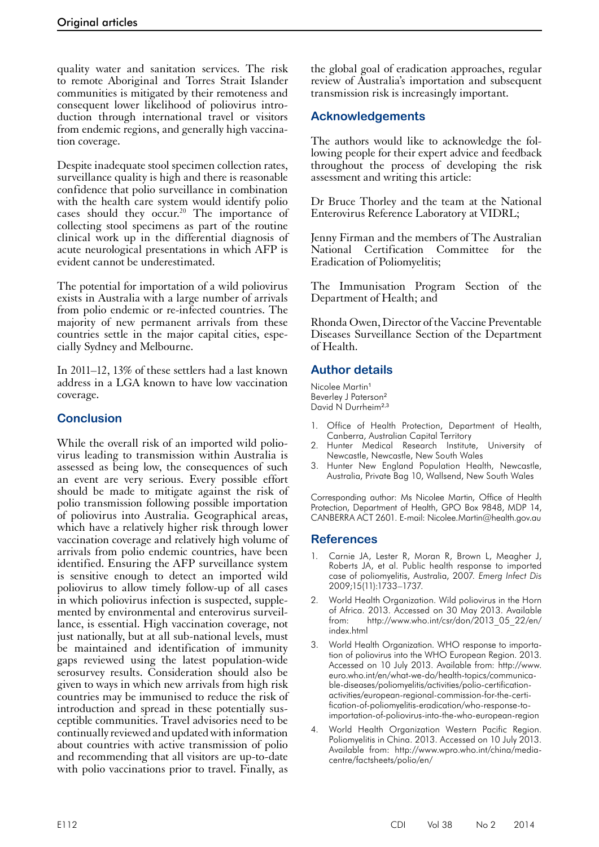quality water and sanitation services. The risk to remote Aboriginal and Torres Strait Islander communities is mitigated by their remoteness and consequent lower likelihood of poliovirus introduction through international travel or visitors from endemic regions, and generally high vaccination coverage.

Despite inadequate stool specimen collection rates, surveillance quality is high and there is reasonable confidence that polio surveillance in combination with the health care system would identify polio cases should they occur.<sup>20</sup> The importance of collecting stool specimens as part of the routine clinical work up in the differential diagnosis of acute neurological presentations in which AFP is evident cannot be underestimated.

The potential for importation of a wild poliovirus exists in Australia with a large number of arrivals from polio endemic or re-infected countries. The majority of new permanent arrivals from these countries settle in the major capital cities, especially Sydney and Melbourne.

In 2011–12, 13% of these settlers had a last known address in a LGA known to have low vaccination coverage.

# **Conclusion**

While the overall risk of an imported wild poliovirus leading to transmission within Australia is assessed as being low, the consequences of such an event are very serious. Every possible effort should be made to mitigate against the risk of polio transmission following possible importation of poliovirus into Australia. Geographical areas, which have a relatively higher risk through lower vaccination coverage and relatively high volume of arrivals from polio endemic countries, have been identified. Ensuring the AFP surveillance system is sensitive enough to detect an imported wild poliovirus to allow timely follow-up of all cases in which poliovirus infection is suspected, supple- mented by environmental and enterovirus surveil- lance, is essential. High vaccination coverage, not just nationally, but at all sub-national levels, must be maintained and identification of immunity gaps reviewed using the latest population-wide serosurvey results. Consideration should also be given to ways in which new arrivals from high risk countries may be immunised to reduce the risk of introduction and spread in these potentially susceptible communities. Travel advisories need to be continually reviewed and updated with information about countries with active transmission of polio and recommending that all visitors are up-to-date with polio vaccinations prior to travel. Finally, as

the global goal of eradication approaches, regular review of Australia's importation and subsequent transmission risk is increasingly important.

# **Acknowledgements**

The authors would like to acknowledge the following people for their expert advice and feedback throughout the process of developing the risk assessment and writing this article:

Dr Bruce Thorley and the team at the National Enterovirus Reference Laboratory at VIDRL;

Jenny Firman and the members of The Australian National Certification Committee for the Eradication of Poliomyelitis;

The Immunisation Program Section of the Department of Health; and

Rhonda Owen, Director of the Vaccine Preventable Diseases Surveillance Section of the Department of Health.

# **Author details**

Nicolee Martin<sup>1</sup> Beverley J Paterson<sup>2</sup> David N Durrheim<sup>2,3</sup>

- 1. Office of Health Protection, Department of Health, Canberra, Australian Capital Territory
- Hunter Medical Research Institute, University of Newcastle, Newcastle, New South Wales
- 3. Hunter New England Population Health, Newcastle, Australia, Private Bag 10, Wallsend, New South Wales

Corresponding author: Ms Nicolee Martin, Office of Health Protection, Department of Health, GPO Box 9848, MDP 14, CANBERRA ACT 2601. E-mail: Nicolee.Martin@health.gov.au

## **References**

- Carnie JA, Lester R, Moran R, Brown L, Meagher J, Roberts JA, et al. Public health response to imported case of poliomyelitis, Australia, 2007*. Emerg Infect Dis* 2009;15(11):1733–1737.
- 2. World Health Organization. Wild poliovirus in the Horn of Africa. 2013. Accessed on 30 May 2013. Available from: http://www.who.int/csr/don/2013\_05\_22/en/ index.html
- 3. World Health Organization. WHO response to importation of poliovirus into the WHO European Region. 2013. Accessed on 10 July 2013. Available from: http://www. euro.who.int/en/what-we-do/health-topics/communicable-diseases/poliomyelitis/activities/polio-certificationactivities/european-regional-commission-for-the-certification-of-poliomyelitis-eradication/who-response-toimportation-of-poliovirus-into-the-who-european-region
- 4. World Health Organization Western Pacific Region. Poliomyelitis in China. 2013. Accessed on 10 July 2013. Available from: http://www.wpro.who.int/china/mediacentre/factsheets/polio/en/